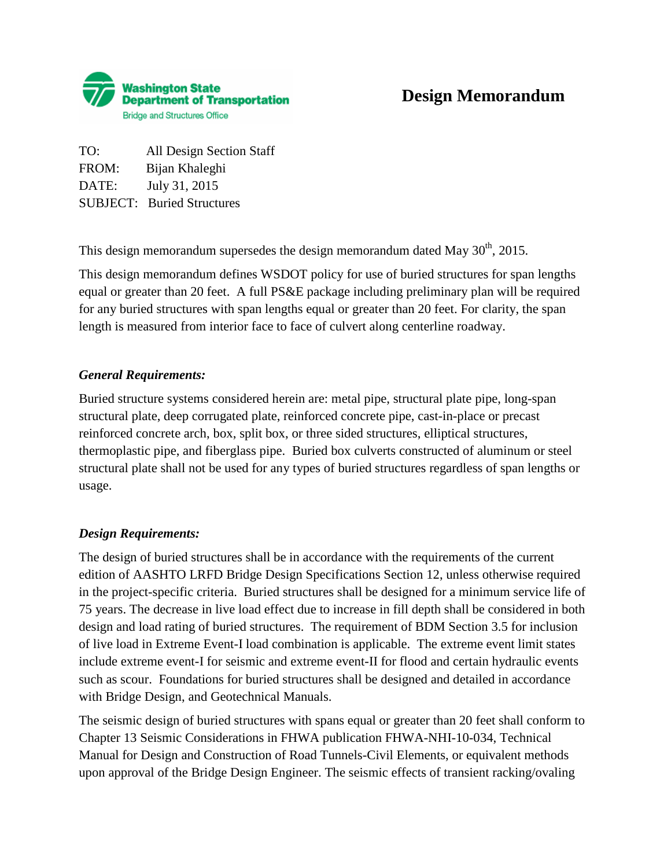

TO: All Design Section Staff FROM: Bijan Khaleghi DATE: July 31, 2015 SUBJECT: Buried Structures

This design memorandum supersedes the design memorandum dated May  $30<sup>th</sup>$ , 2015.

This design memorandum defines WSDOT policy for use of buried structures for span lengths equal or greater than 20 feet. A full PS&E package including preliminary plan will be required for any buried structures with span lengths equal or greater than 20 feet. For clarity, the span length is measured from interior face to face of culvert along centerline roadway.

### *General Requirements:*

Buried structure systems considered herein are: metal pipe, structural plate pipe, long-span structural plate, deep corrugated plate, reinforced concrete pipe, cast-in-place or precast reinforced concrete arch, box, split box, or three sided structures, elliptical structures, thermoplastic pipe, and fiberglass pipe. Buried box culverts constructed of aluminum or steel structural plate shall not be used for any types of buried structures regardless of span lengths or usage.

### *Design Requirements:*

The design of buried structures shall be in accordance with the requirements of the current edition of AASHTO LRFD Bridge Design Specifications Section 12, unless otherwise required in the project-specific criteria. Buried structures shall be designed for a minimum service life of 75 years. The decrease in live load effect due to increase in fill depth shall be considered in both design and load rating of buried structures. The requirement of BDM Section 3.5 for inclusion of live load in Extreme Event-I load combination is applicable. The extreme event limit states include extreme event-I for seismic and extreme event-II for flood and certain hydraulic events such as scour. Foundations for buried structures shall be designed and detailed in accordance with Bridge Design, and Geotechnical Manuals.

The seismic design of buried structures with spans equal or greater than 20 feet shall conform to Chapter 13 Seismic Considerations in FHWA publication FHWA-NHI-10-034, Technical Manual for Design and Construction of Road Tunnels-Civil Elements, or equivalent methods upon approval of the Bridge Design Engineer. The seismic effects of transient racking/ovaling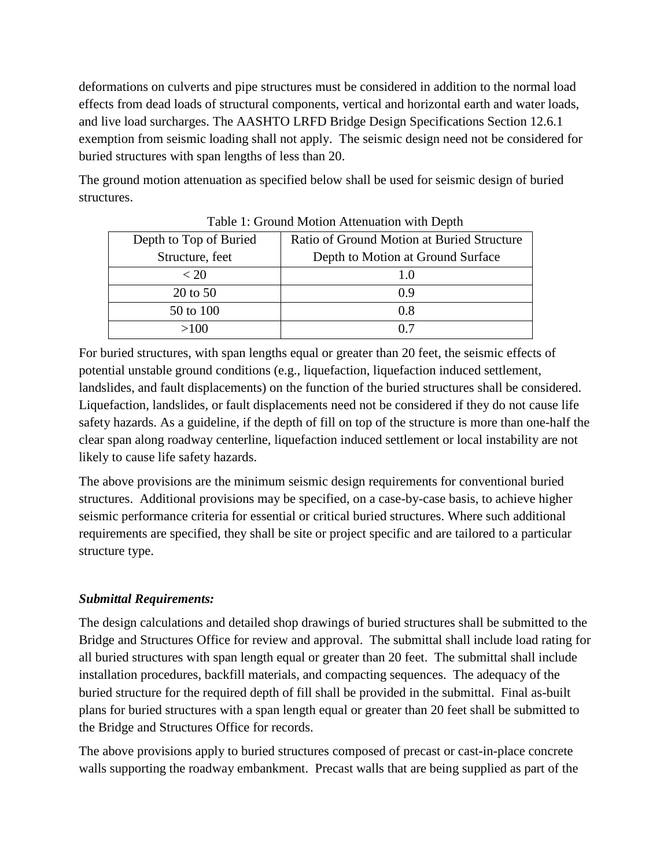deformations on culverts and pipe structures must be considered in addition to the normal load effects from dead loads of structural components, vertical and horizontal earth and water loads, and live load surcharges. The AASHTO LRFD Bridge Design Specifications Section 12.6.1 exemption from seismic loading shall not apply. The seismic design need not be considered for buried structures with span lengths of less than 20.

The ground motion attenuation as specified below shall be used for seismic design of buried structures.

| Depth to Top of Buried | Ratio of Ground Motion at Buried Structure |
|------------------------|--------------------------------------------|
| Structure, feet        | Depth to Motion at Ground Surface          |
| < 20                   | 1.0                                        |
| 20 to 50               | 0 ዓ                                        |
| 50 to 100              | 0.8                                        |
| >100                   |                                            |

Table 1: Ground Motion Attenuation with Depth

For buried structures, with span lengths equal or greater than 20 feet, the seismic effects of potential unstable ground conditions (e.g., liquefaction, liquefaction induced settlement, landslides, and fault displacements) on the function of the buried structures shall be considered. Liquefaction, landslides, or fault displacements need not be considered if they do not cause life safety hazards. As a guideline, if the depth of fill on top of the structure is more than one-half the clear span along roadway centerline, liquefaction induced settlement or local instability are not likely to cause life safety hazards.

The above provisions are the minimum seismic design requirements for conventional buried structures. Additional provisions may be specified, on a case-by-case basis, to achieve higher seismic performance criteria for essential or critical buried structures. Where such additional requirements are specified, they shall be site or project specific and are tailored to a particular structure type.

## *Submittal Requirements:*

The design calculations and detailed shop drawings of buried structures shall be submitted to the Bridge and Structures Office for review and approval. The submittal shall include load rating for all buried structures with span length equal or greater than 20 feet. The submittal shall include installation procedures, backfill materials, and compacting sequences. The adequacy of the buried structure for the required depth of fill shall be provided in the submittal. Final as-built plans for buried structures with a span length equal or greater than 20 feet shall be submitted to the Bridge and Structures Office for records.

The above provisions apply to buried structures composed of precast or cast-in-place concrete walls supporting the roadway embankment. Precast walls that are being supplied as part of the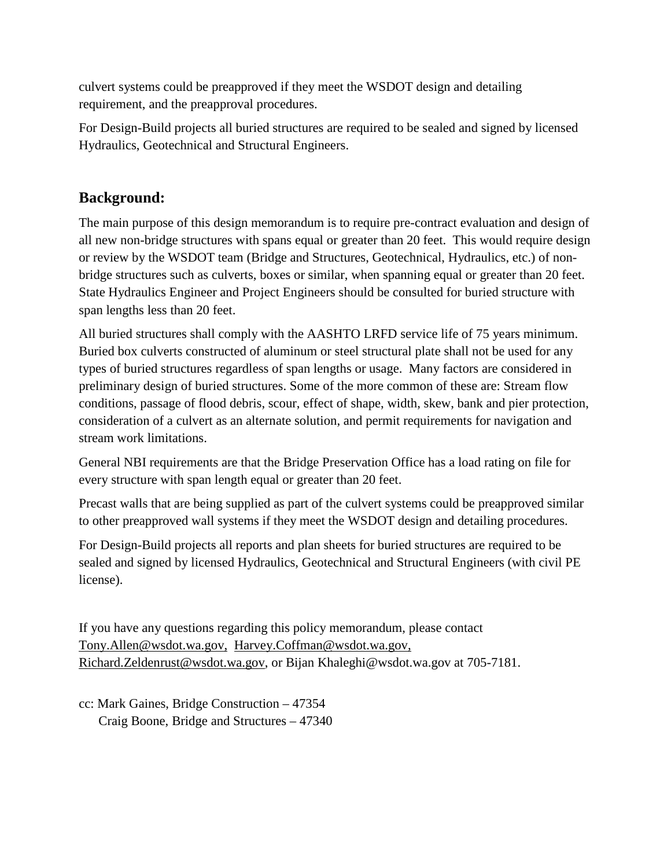culvert systems could be preapproved if they meet the WSDOT design and detailing requirement, and the preapproval procedures.

For Design-Build projects all buried structures are required to be sealed and signed by licensed Hydraulics, Geotechnical and Structural Engineers.

# **Background:**

The main purpose of this design memorandum is to require pre-contract evaluation and design of all new non-bridge structures with spans equal or greater than 20 feet. This would require design or review by the WSDOT team (Bridge and Structures, Geotechnical, Hydraulics, etc.) of nonbridge structures such as culverts, boxes or similar, when spanning equal or greater than 20 feet. State Hydraulics Engineer and Project Engineers should be consulted for buried structure with span lengths less than 20 feet.

All buried structures shall comply with the AASHTO LRFD service life of 75 years minimum. Buried box culverts constructed of aluminum or steel structural plate shall not be used for any types of buried structures regardless of span lengths or usage. Many factors are considered in preliminary design of buried structures. Some of the more common of these are: Stream flow conditions, passage of flood debris, scour, effect of shape, width, skew, bank and pier protection, consideration of a culvert as an alternate solution, and permit requirements for navigation and stream work limitations.

General NBI requirements are that the Bridge Preservation Office has a load rating on file for every structure with span length equal or greater than 20 feet.

Precast walls that are being supplied as part of the culvert systems could be preapproved similar to other preapproved wall systems if they meet the WSDOT design and detailing procedures.

For Design-Build projects all reports and plan sheets for buried structures are required to be sealed and signed by licensed Hydraulics, Geotechnical and Structural Engineers (with civil PE license).

If you have any questions regarding this policy memorandum, please contact [Tony.Allen@wsdot.wa.gov,](mailto:Tony.Allen@wsdot.wa.gov) [Harvey.Coffman@wsdot.wa.gov,](mailto:Harvey.Coffman@wsdot.wa.gov) Richard.Zeldenrust@wsdot.wa.gov, or Bijan Khaleghi@wsdot.wa.gov at 705-7181.

cc: Mark Gaines, Bridge Construction – 47354 Craig Boone, Bridge and Structures – 47340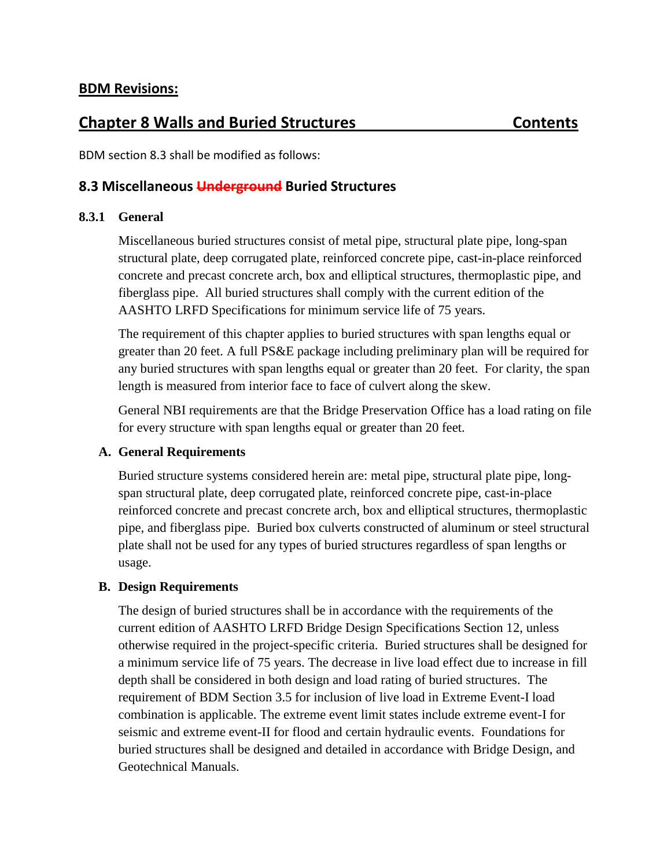# **Chapter 8 Walls and Buried Structures Contents**

BDM section 8.3 shall be modified as follows:

## **8.3 Miscellaneous Underground Buried Structures**

## **8.3.1 General**

Miscellaneous buried structures consist of metal pipe, structural plate pipe, long-span structural plate, deep corrugated plate, reinforced concrete pipe, cast-in-place reinforced concrete and precast concrete arch, box and elliptical structures, thermoplastic pipe, and fiberglass pipe. All buried structures shall comply with the current edition of the AASHTO LRFD Specifications for minimum service life of 75 years.

The requirement of this chapter applies to buried structures with span lengths equal or greater than 20 feet. A full PS&E package including preliminary plan will be required for any buried structures with span lengths equal or greater than 20 feet. For clarity, the span length is measured from interior face to face of culvert along the skew.

General NBI requirements are that the Bridge Preservation Office has a load rating on file for every structure with span lengths equal or greater than 20 feet.

## **A. General Requirements**

Buried structure systems considered herein are: metal pipe, structural plate pipe, longspan structural plate, deep corrugated plate, reinforced concrete pipe, cast-in-place reinforced concrete and precast concrete arch, box and elliptical structures, thermoplastic pipe, and fiberglass pipe. Buried box culverts constructed of aluminum or steel structural plate shall not be used for any types of buried structures regardless of span lengths or usage.

## **B. Design Requirements**

The design of buried structures shall be in accordance with the requirements of the current edition of AASHTO LRFD Bridge Design Specifications Section 12, unless otherwise required in the project-specific criteria. Buried structures shall be designed for a minimum service life of 75 years. The decrease in live load effect due to increase in fill depth shall be considered in both design and load rating of buried structures. The requirement of BDM Section 3.5 for inclusion of live load in Extreme Event-I load combination is applicable. The extreme event limit states include extreme event-I for seismic and extreme event-II for flood and certain hydraulic events. Foundations for buried structures shall be designed and detailed in accordance with Bridge Design, and Geotechnical Manuals.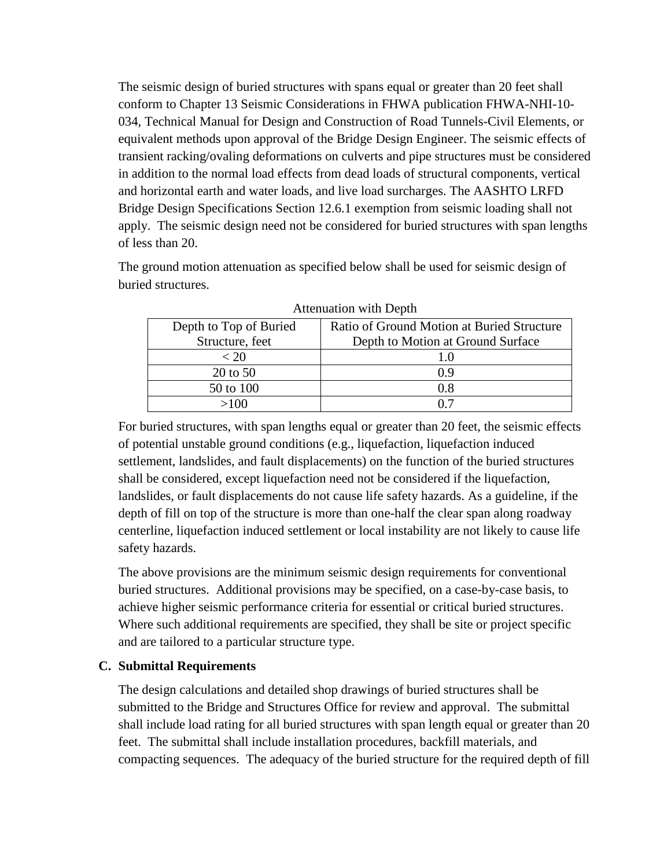The seismic design of buried structures with spans equal or greater than 20 feet shall conform to Chapter 13 Seismic Considerations in FHWA publication FHWA-NHI-10- 034, Technical Manual for Design and Construction of Road Tunnels-Civil Elements, or equivalent methods upon approval of the Bridge Design Engineer. The seismic effects of transient racking/ovaling deformations on culverts and pipe structures must be considered in addition to the normal load effects from dead loads of structural components, vertical and horizontal earth and water loads, and live load surcharges. The AASHTO LRFD Bridge Design Specifications Section 12.6.1 exemption from seismic loading shall not apply. The seismic design need not be considered for buried structures with span lengths of less than 20.

The ground motion attenuation as specified below shall be used for seismic design of buried structures.

| Depth to Top of Buried | Ratio of Ground Motion at Buried Structure |
|------------------------|--------------------------------------------|
| Structure, feet        | Depth to Motion at Ground Surface          |
| < 20                   | 10                                         |
| 20 to 50               | 0.9                                        |
| 50 to 100              | 0.8                                        |
| >100                   | ሰ 7                                        |

Attenuation with Depth

For buried structures, with span lengths equal or greater than 20 feet, the seismic effects of potential unstable ground conditions (e.g., liquefaction, liquefaction induced settlement, landslides, and fault displacements) on the function of the buried structures shall be considered, except liquefaction need not be considered if the liquefaction, landslides, or fault displacements do not cause life safety hazards. As a guideline, if the depth of fill on top of the structure is more than one-half the clear span along roadway centerline, liquefaction induced settlement or local instability are not likely to cause life safety hazards.

The above provisions are the minimum seismic design requirements for conventional buried structures. Additional provisions may be specified, on a case-by-case basis, to achieve higher seismic performance criteria for essential or critical buried structures. Where such additional requirements are specified, they shall be site or project specific and are tailored to a particular structure type.

### **C. Submittal Requirements**

The design calculations and detailed shop drawings of buried structures shall be submitted to the Bridge and Structures Office for review and approval. The submittal shall include load rating for all buried structures with span length equal or greater than 20 feet. The submittal shall include installation procedures, backfill materials, and compacting sequences. The adequacy of the buried structure for the required depth of fill